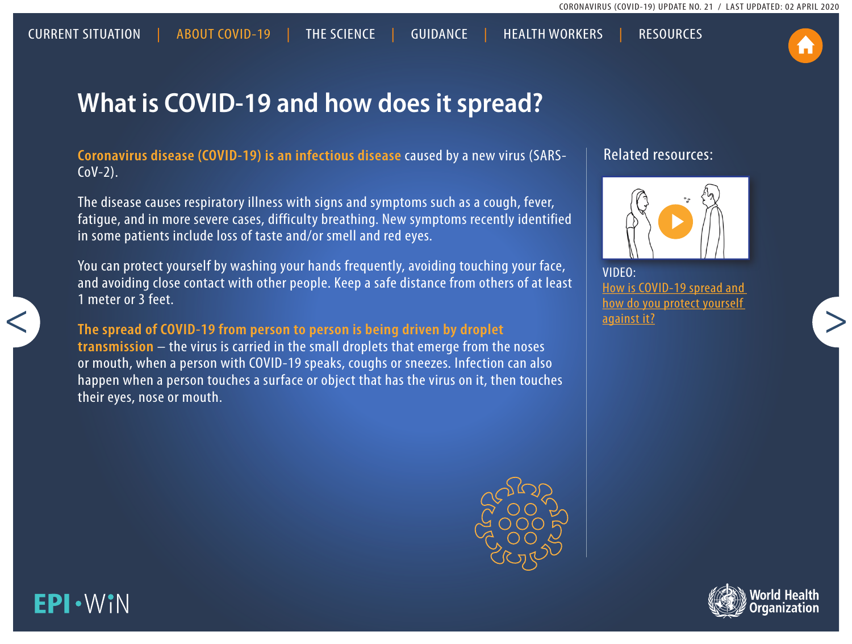## **What is COVID-19 and how does it spread?**

**Coronavirus disease (COVID-19) is an infectious disease** caused by a new virus (SARS- $COV-2$ ).

<span id="page-0-0"></span>CURRENT SITUATION | ABOUT COVID-19 | THE SCIENCE | [GUIDANCE](#page-2-0) | HEALTH WORKERS | RESOURCES

The disease causes respiratory illness with signs and symptoms such as a cough, fever, fatigue, and in more severe cases, difficulty breathing. New symptoms recently identified in some patients include loss of taste and/or smell and red eyes.

You can protect yourself by washing your hands frequently, avoiding touching your face, and avoiding close contact with other people. Keep a safe distance from others of at least 1 meter or 3 feet.

**The spread of COVID-19 from person to person is being driven by droplet transmission** – the virus is carried in the small droplets that emerge from the noses or mouth, when a person with COVID-19 speaks, coughs or sneezes. Infection can also happen when a person touches a surface or object that has the virus on it, then touches their eyes, nose or mouth.



#### Related resources:



VIDEO[:](https://www.youtube.com/watch?v=3PmVJQUCm4E) [How is COVID-19 spread and](https://www.youtube.com/watch?v=1APwq1df6Mw)  [how do you protect yourself](https://www.youtube.com/watch?v=1APwq1df6Mw)  [against it?](https://www.youtube.com/watch?v=1APwq1df6Mw)



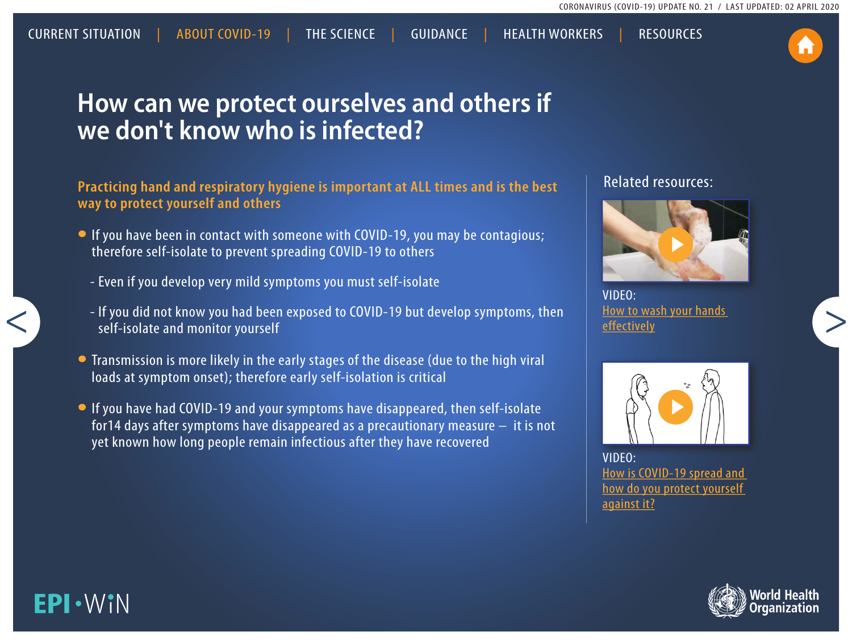## **How can we protect ourselves and others if we don't know who is infected?**

[CURRENT SITUATION](#page-0-0) | [ABOUT COVID-19 | THE SCIENCE](#page-0-0) |[GUIDANCE](#page-2-0) | [HEALTH](#page-0-0) WORKERS | [RESOURCES](#page-0-0)

**Practicing hand and respiratory hygiene is important at ALL times and is the best way to protect yourself and others**

- If you have been in contact with someone with COVID-19, you may be contagious; therefore self-isolate to prevent spreading COVID-19 to others
	- Even if you develop very mild symptoms you must [self-isolate](#page-4-0)
	- If you did not know you had been exposed to COVID-19 but develop symptoms, then self-isolate and monitor yourself
- Transmission is more likely in the early stages of the disease (due to the high viral loads at symptom onset); therefore early self-isolation is critical
- •If you have had COVID-19 and your symptoms have disappeared, then self-isolate for14 days after symptoms have disappeared as a precautionary measure – it is not yet known how long people remain infectious after they have recovered

#### Related resources:



VIDEO[:](https://www.youtube.com/watch?v=3PmVJQUCm4E) [How to wash your hands](https://www.youtube.com/watch?v=3PmVJQUCm4E)  [effectively](https://www.youtube.com/watch?v=3PmVJQUCm4E)



VIDEO[:](https://www.youtube.com/watch?v=3PmVJQUCm4E) [How is COVID-19 spread and](https://www.youtube.com/watch?v=1APwq1df6Mw)  [how do you protect yourself](https://www.youtube.com/watch?v=1APwq1df6Mw)  [against it?](https://www.youtube.com/watch?v=1APwq1df6Mw)



### EPI·WIN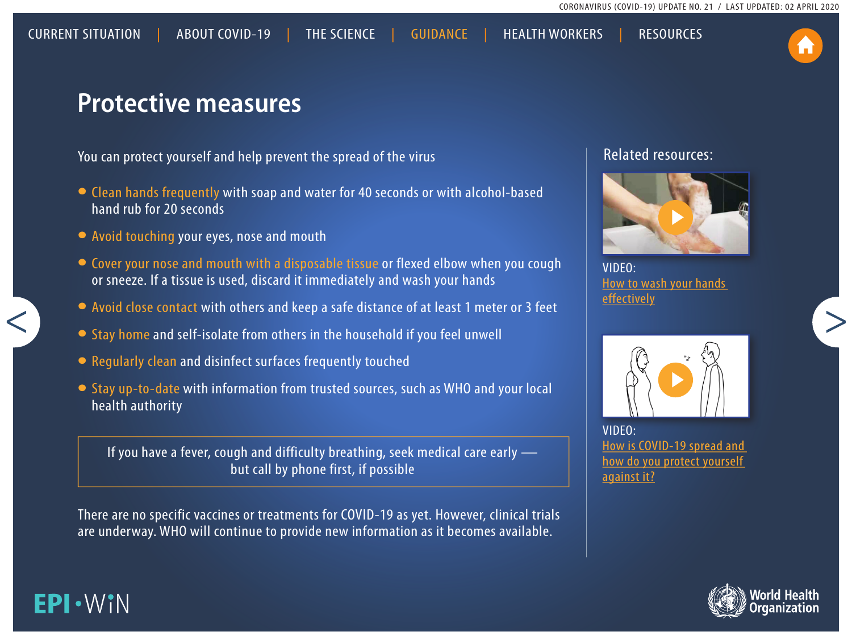

### <span id="page-2-0"></span>**Protective measures**

You can protect yourself and help prevent the spread of the virus

- Clean hands frequently with soap and water for 40 seconds or with alcohol-based hand rub for 20 seconds
- Avoid touching your eyes, nose and mouth

**EPI·WIN** 

- Cover your nose and mouth with a disposable tissue or flexed elbow when you cough or sneeze. If a tissue is used, discard it immediately and wash your hands
- Avoid close contact with others and keep a safe distance of at least 1 meter or 3 feet
- Stay home and self-isolate from others in the household if you feel unwell
- Regularly clean and disinfect surfaces frequently touched
- Stay up-to-date with information from trusted sources, such as WHO and your local health authority

If you have a fever, cough and difficulty breathing, seek medical care early but call by phone first, if possible

There are no specific vaccines or treatments for COVID-19 as yet. However, clinical trials are underway. WHO will continue to provide new information as it becomes available.

#### Related resources:



VIDEO[:](https://www.youtube.com/watch?v=3PmVJQUCm4E) [How to wash your hands](https://www.youtube.com/watch?v=3PmVJQUCm4E)  [effectively](https://www.youtube.com/watch?v=3PmVJQUCm4E)



VIDEO[:](https://www.youtube.com/watch?v=3PmVJQUCm4E) [How is COVID-19 spread and](https://www.youtube.com/watch?v=1APwq1df6Mw)  [how do you protect yourself](https://www.youtube.com/watch?v=1APwq1df6Mw)  [against it?](https://www.youtube.com/watch?v=1APwq1df6Mw)

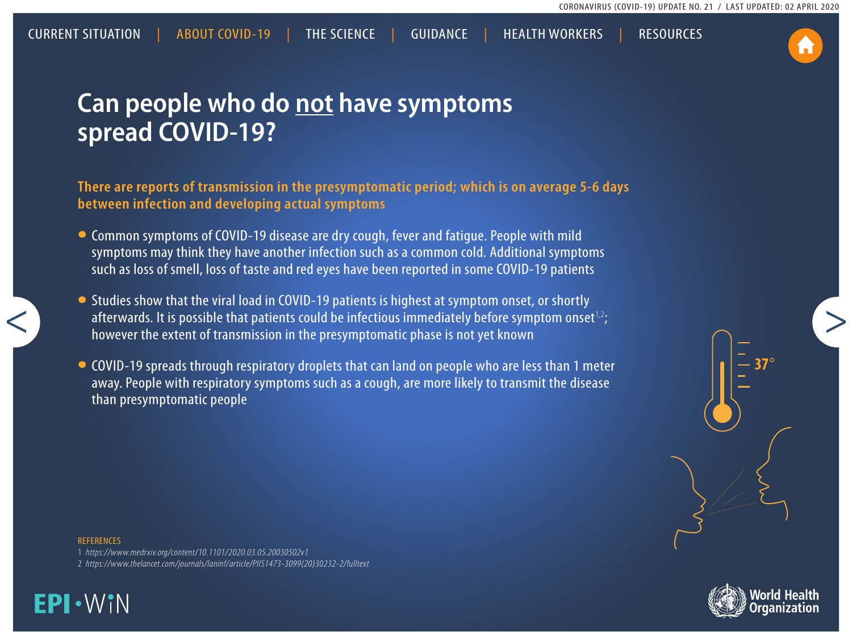## **Can people who do not have symptoms spread COVID-19?**

**There are reports of transmission in the presymptomatic period; which is on average 5-6 days between infection and developing actual symptoms** 

[CURRENT SITUATION](#page-0-0) | [ABOUT COVID-19 | THE SCIENCE](#page-0-0) |[GUIDANCE](#page-2-0) | [HEALTH](#page-0-0) WORKERS | [RESOURCES](#page-0-0)

- Common symptoms of COVID-19 disease are dry cough, fever and fatigue. People with mild symptoms may think they have another infection such as a common cold. Additional symptoms such as loss of smell, loss of taste and red eyes have been reported in some COVID-19 patients
- Studies show that the viral load in COVID-19 patients is highest at symptom onset, or shortly afterwards. It is possible that patients could be infectious immediately before symptom onset<sup>1,2</sup>; however the extent of transmission in the presymptomatic phase is not yet known
- COVID-19 spreads through respiratory droplets that can land on people who are less than 1 meter away. People with respiratory symptoms such as a cough, are more likely to transmit the disease than presymptomatic people





#### **REFERENCES**

1 *<https://www.medrxiv.org/content/10.1101/2020.03.05.20030502v1>*

2 *[https://www.thelancet.com/journals/laninf/article/PIIS1473-3099\(20\)30232-2/fulltext](https://www.thelancet.com/journals/laninf/article/PIIS1473-3099(20)30232-2/fulltext)*

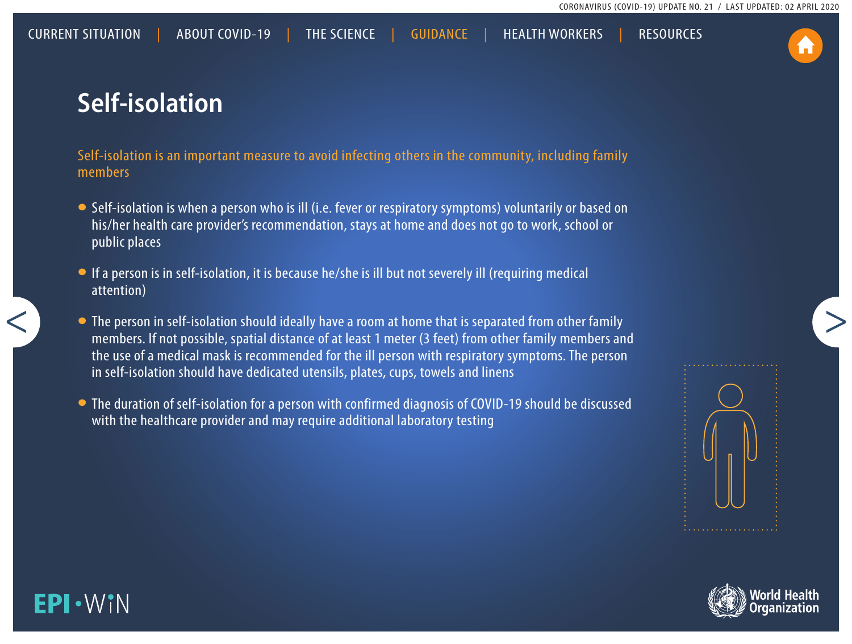# <span id="page-4-0"></span>**Self-isolation**

Self-isolation is an important measure to avoid infecting others in the community, including family members

- Self-isolation is when a person who is ill (i.e. fever or respiratory symptoms) voluntarily or based on his/her health care provider's recommendation, stays at home and does not go to work, school or public places
- •If a person is in self-isolation, it is because he/she is ill but not severely ill (requiring medical attention)
- The person in self-isolation should ideally have a room at home that is separated from other family members. If not possible, spatial distance of at least 1 meter (3 feet) from other family members and the use of a medical mask is recommended for the ill person with respiratory symptoms. The person in self-isolation should have dedicated utensils, plates, cups, towels and linens
- The duration of self-isolation for a person with confirmed diagnosis of COVID-19 should be discussed with the healthcare provider and may require additional laboratory testing